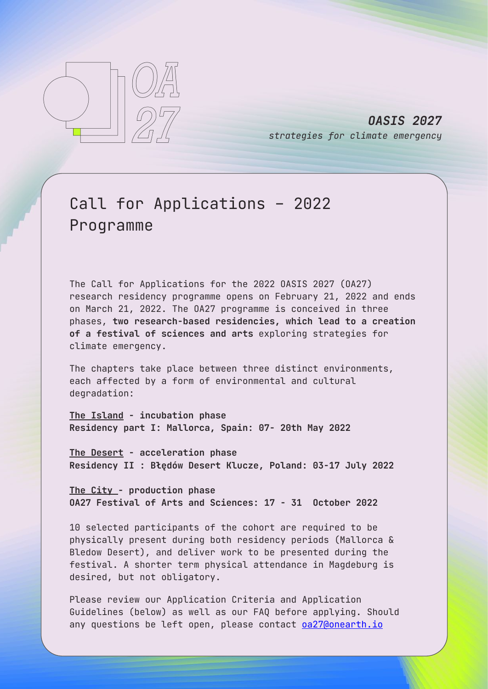

*OASIS 2027 strategies for climate emergency*

# Call for Applications – 2022 Programme

The Call for Applications for the 2022 OASIS 2027 (OA27) research residency programme opens on February 21, 2022 and ends on March 21, 2022. The OA27 programme is conceived in three phases, **two research-based residencies, which lead to a creation of a festival of sciences and arts** exploring strategies for climate emergency.

The chapters take place between three distinct environments, each affected by a form of environmental and cultural degradation:

**The Island - incubation phase Residency part I: Mallorca, Spain: 07- 20th May 2022**

**The Desert - acceleration phase Residency II : Błędów Desert Klucze, Poland: 03-17 July 2022**

**The City - production phase OA27 Festival of Arts and Sciences: 17 - 31 October 2022**

10 selected participants of the cohort are required to be physically present during both residency periods (Mallorca & Bledow Desert), and deliver work to be presented during the festival. A shorter term physical attendance in Magdeburg is desired, but not obligatory.

Please review our Application Criteria and Application Guidelines (below) as well as our FAQ before applying. Should any questions be left open, please contact **0a27@onearth.io**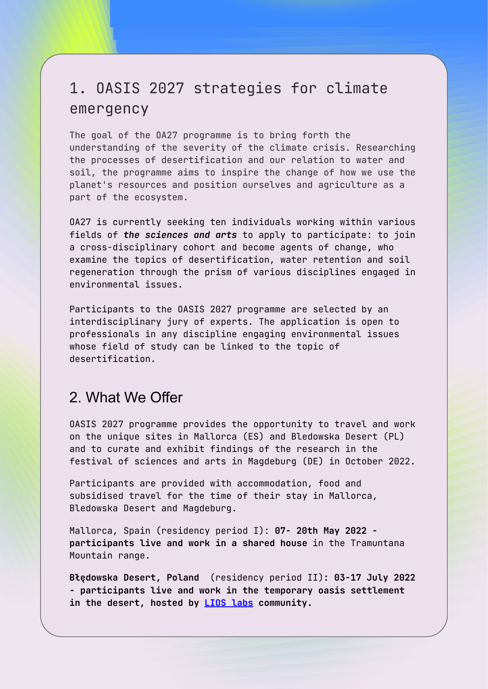# 1. OASIS 2027 strategies for climate emergency

The goal of the OA27 programme is to bring forth the understanding of the severity of the climate crisis. Researching the processes of desertification and our relation to water and soil, the programme aims to inspire the change of how we use the planet's resources and position ourselves and agriculture as a part of the ecosystem.

OA27 is currently seeking ten individuals working within various fields of *the sciences and arts* to apply to participate: to join a cross-disciplinary cohort and become agents of change, who examine the topics of desertification, water retention and soil regeneration through the prism of various disciplines engaged in environmental issues.

Participants to the OASIS 2027 programme are selected by an interdisciplinary jury of experts. The application is open to professionals in any discipline engaging environmental issues whose field of study can be linked to the topic of desertification.

### 2. What We Offer

OASIS 2027 programme provides the opportunity to travel and work on the unique sites in Mallorca (ES) and Bledowska Desert (PL) and to curate and exhibit findings of the research in the festival of sciences and arts in Magdeburg (DE) in October 2022.

Participants are provided with accommodation, food and subsidised travel for the time of their stay in Mallorca, Bledowska Desert and Magdeburg.

Mallorca, Spain (residency period I): **07- 20th May 2022 participants live and work in a shared house** in the Tramuntana Mountain range.

**Błędowska Desert, Poland** (residency period II)**: 03-17 July 2022 - participants live and work in the temporary oasis settlement in the desert, hosted by LIOS labs community.**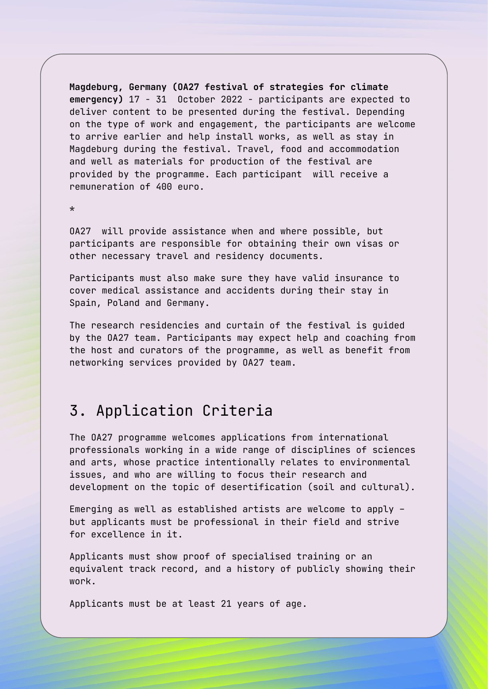**Magdeburg, Germany (OA27 festival of strategies for climate emergency)** 17 - 31 October 2022 - participants are expected to deliver content to be presented during the festival. Depending on the type of work and engagement, the participants are welcome to arrive earlier and help install works, as well as stay in Magdeburg during the festival. Travel, food and accommodation and well as materials for production of the festival are provided by the programme. Each participant will receive a remuneration of 400 euro.

\*

OA27 will provide assistance when and where possible, but participants are responsible for obtaining their own visas or other necessary travel and residency documents.

Participants must also make sure they have valid insurance to cover medical assistance and accidents during their stay in Spain, Poland and Germany.

The research residencies and curtain of the festival is guided by the OA27 team. Participants may expect help and coaching from the host and curators of the programme, as well as benefit from networking services provided by OA27 team.

## 3. Application Criteria

The OA27 programme welcomes applications from international professionals working in a wide range of disciplines of sciences and arts, whose practice intentionally relates to environmental issues, and who are willing to focus their research and development on the topic of desertification (soil and cultural).

Emerging as well as established artists are welcome to apply – but applicants must be professional in their field and strive for excellence in it.

Applicants must show proof of specialised training or an equivalent track record, and a history of publicly showing their work.

Applicants must be at least 21 years of age.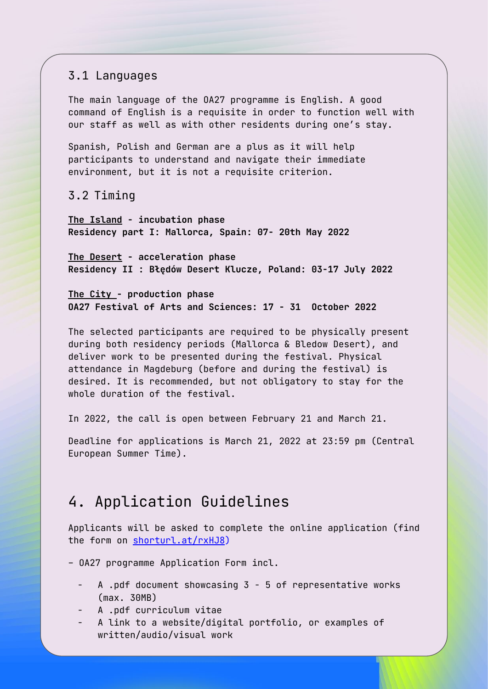#### 3.1 Languages

The main language of the OA27 programme is English. A good command of English is a requisite in order to function well with our staff as well as with other residents during one's stay.

Spanish, Polish and German are a plus as it will help participants to understand and navigate their immediate environment, but it is not a requisite criterion.

3.2 Timing

**The Island - incubation phase Residency part I: Mallorca, Spain: 07- 20th May 2022**

**The Desert - acceleration phase Residency II : Błędów Desert Klucze, Poland: 03-17 July 2022**

**The City - production phase OA27 Festival of Arts and Sciences: 17 - 31 October 2022**

The selected participants are required to be physically present during both residency periods (Mallorca & Bledow Desert), and deliver work to be presented during the festival. Physical attendance in Magdeburg (before and during the festival) is desired. It is recommended, but not obligatory to stay for the whole duration of the festival.

In 2022, the call is open between February 21 and March 21.

Deadline for applications is March 21, 2022 at 23:59 pm (Central European Summer Time).

## 4. Application Guidelines

Applicants will be asked to complete the online application (find the form on shorturl.at/rxHJ8)

– OA27 programme Application Form incl.

- A .pdf document showcasing 3 5 of representative works (max. 30MB)
- A .pdf curriculum vitae
- A link to a website/digital portfolio, or examples of written/audio/visual work